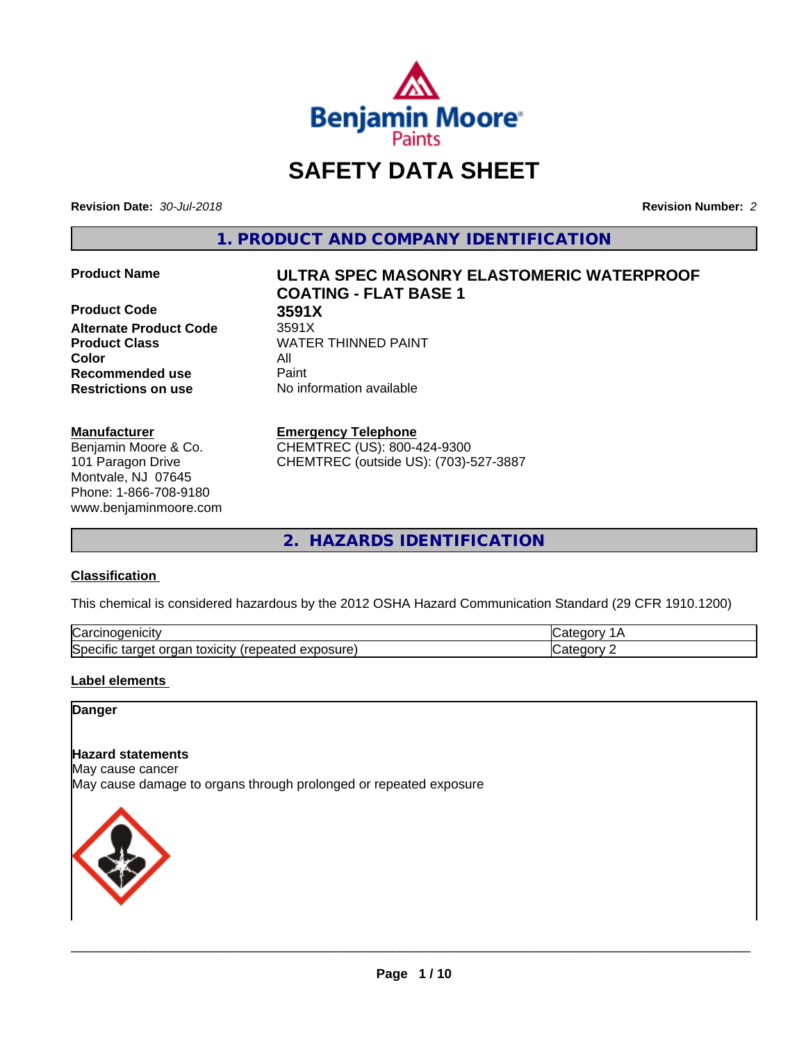

# **SAFETY DATA SHEET**

**Revision Date:** *30-Jul-2018* **Revision Number:** *2*

**1. PRODUCT AND COMPANY IDENTIFICATION**

**Product Code 3591X Alternate Product Code Product Class WATER THINNED PAINT Color** All **Recommended use** Paint **Restrictions on use** No information available

#### **Manufacturer**

Benjamin Moore & Co. 101 Paragon Drive Montvale, NJ 07645 Phone: 1-866-708-9180 www.benjaminmoore.com

# **Product Name ULTRA SPEC MASONRY ELASTOMERIC WATERPROOF COATING - FLAT BASE 1**

#### **Emergency Telephone**

CHEMTREC (US): 800-424-9300 CHEMTREC (outside US): (703)-527-3887

**2. HAZARDS IDENTIFICATION**

#### **Classification**

This chemical is considered hazardous by the 2012 OSHA Hazard Communication Standard (29 CFR 1910.1200)

| ∽<br>-----<br>∪ar<br>нсн<br>                                                              |  |
|-------------------------------------------------------------------------------------------|--|
| osure<br>.<br>toxicity<br>50er<br>orgar<br>arner -<br>$\cdots$<br>.<br>ши<br>59160<br>ᇢᅀᄓ |  |

#### **Label elements**

#### **Danger**

#### **Hazard statements**

May cause cancer

May cause damage to organs through prolonged or repeated exposure

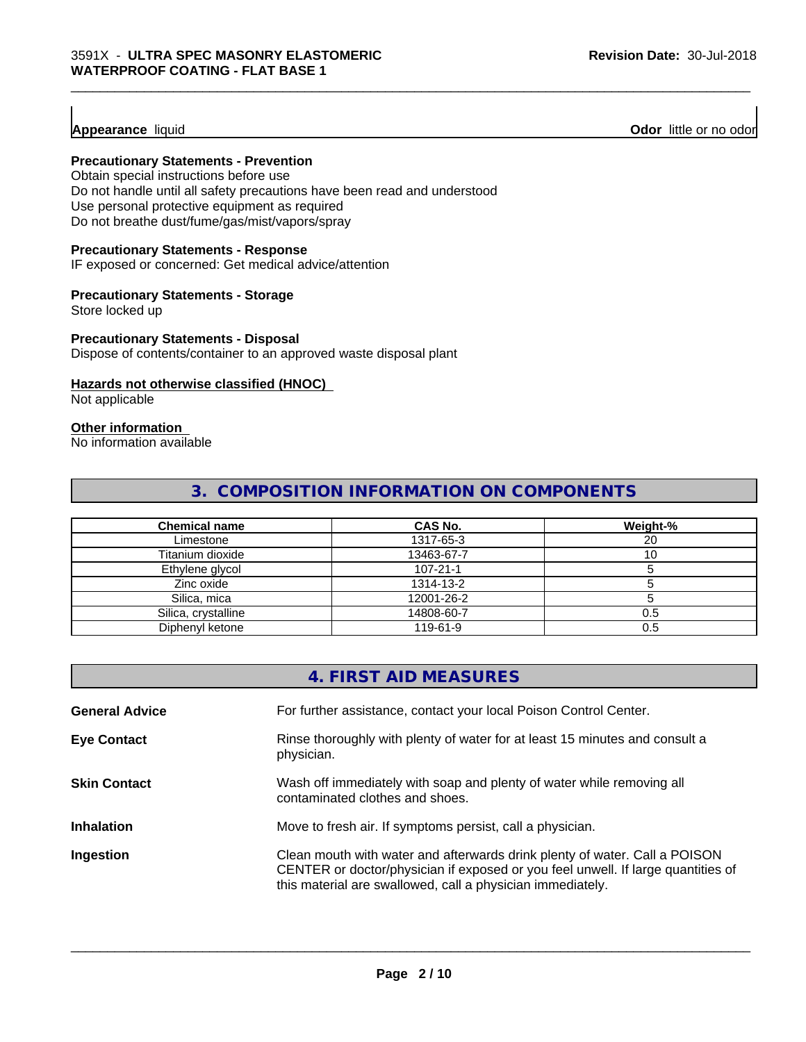**Appearance** liquid **Odor 11** Odor little or no odor

#### **Precautionary Statements - Prevention**

Obtain special instructions before use Do not handle until all safety precautions have been read and understood Use personal protective equipment as required Do not breathe dust/fume/gas/mist/vapors/spray

#### **Precautionary Statements - Response**

IF exposed or concerned: Get medical advice/attention

#### **Precautionary Statements - Storage**

Store locked up

#### **Precautionary Statements - Disposal**

Dispose of contents/container to an approved waste disposal plant

#### **Hazards not otherwise classified (HNOC)**

Not applicable

#### **Other information**

No information available

# **3. COMPOSITION INFORMATION ON COMPONENTS**

\_\_\_\_\_\_\_\_\_\_\_\_\_\_\_\_\_\_\_\_\_\_\_\_\_\_\_\_\_\_\_\_\_\_\_\_\_\_\_\_\_\_\_\_\_\_\_\_\_\_\_\_\_\_\_\_\_\_\_\_\_\_\_\_\_\_\_\_\_\_\_\_\_\_\_\_\_\_\_\_\_\_\_\_\_\_\_\_\_\_\_\_\_

| <b>Chemical name</b> | CAS No.        | Weight-% |
|----------------------|----------------|----------|
| Limestone            | 1317-65-3      | 20       |
| Titanium dioxide     | 13463-67-7     |          |
| Ethylene glycol      | $107 - 21 - 1$ |          |
| Zinc oxide           | 1314-13-2      |          |
| Silica, mica         | 12001-26-2     |          |
| Silica, crystalline  | 14808-60-7     | 0.5      |
| Diphenyl ketone      | 119-61-9       | 0.5      |

|                       | 4. FIRST AID MEASURES                                                                                                                                                                                                        |
|-----------------------|------------------------------------------------------------------------------------------------------------------------------------------------------------------------------------------------------------------------------|
| <b>General Advice</b> | For further assistance, contact your local Poison Control Center.                                                                                                                                                            |
| <b>Eye Contact</b>    | Rinse thoroughly with plenty of water for at least 15 minutes and consult a<br>physician.                                                                                                                                    |
| <b>Skin Contact</b>   | Wash off immediately with soap and plenty of water while removing all<br>contaminated clothes and shoes.                                                                                                                     |
| <b>Inhalation</b>     | Move to fresh air. If symptoms persist, call a physician.                                                                                                                                                                    |
| Ingestion             | Clean mouth with water and afterwards drink plenty of water. Call a POISON<br>CENTER or doctor/physician if exposed or you feel unwell. If large quantities of<br>this material are swallowed, call a physician immediately. |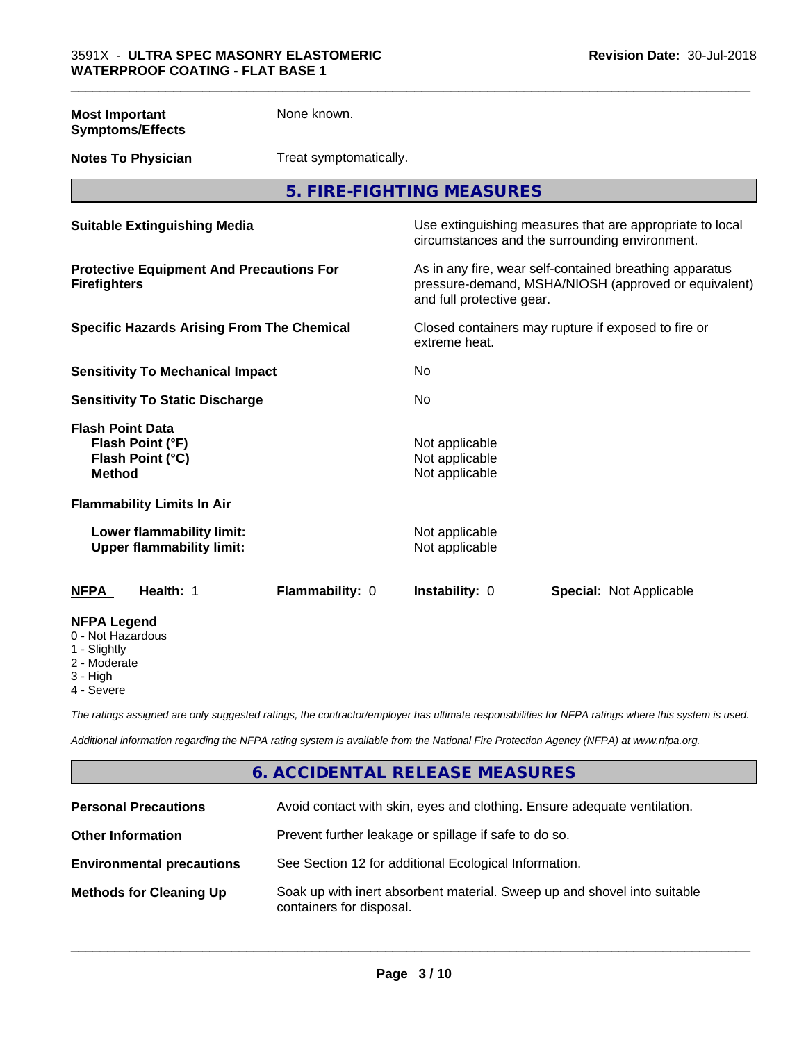| <b>Most Important</b><br><b>Symptoms/Effects</b>                                 | None known.            |                                                    |                                                                                                                 |
|----------------------------------------------------------------------------------|------------------------|----------------------------------------------------|-----------------------------------------------------------------------------------------------------------------|
| <b>Notes To Physician</b>                                                        | Treat symptomatically. |                                                    |                                                                                                                 |
|                                                                                  |                        | 5. FIRE-FIGHTING MEASURES                          |                                                                                                                 |
| <b>Suitable Extinguishing Media</b>                                              |                        |                                                    | Use extinguishing measures that are appropriate to local<br>circumstances and the surrounding environment.      |
| <b>Protective Equipment And Precautions For</b><br><b>Firefighters</b>           |                        | and full protective gear.                          | As in any fire, wear self-contained breathing apparatus<br>pressure-demand, MSHA/NIOSH (approved or equivalent) |
| <b>Specific Hazards Arising From The Chemical</b>                                |                        | extreme heat.                                      | Closed containers may rupture if exposed to fire or                                                             |
| <b>Sensitivity To Mechanical Impact</b>                                          |                        | No.                                                |                                                                                                                 |
| <b>Sensitivity To Static Discharge</b>                                           |                        | <b>No</b>                                          |                                                                                                                 |
| <b>Flash Point Data</b><br>Flash Point (°F)<br>Flash Point (°C)<br><b>Method</b> |                        | Not applicable<br>Not applicable<br>Not applicable |                                                                                                                 |
| <b>Flammability Limits In Air</b>                                                |                        |                                                    |                                                                                                                 |
| Lower flammability limit:<br><b>Upper flammability limit:</b>                    |                        | Not applicable<br>Not applicable                   |                                                                                                                 |
| Health: 1<br><b>NFPA</b>                                                         | Flammability: 0        | Instability: 0                                     | <b>Special: Not Applicable</b>                                                                                  |
| <b>NFPA Legend</b><br>0 - Not Hazardous<br>1 - Slightly<br>2 - Moderate          |                        |                                                    |                                                                                                                 |

\_\_\_\_\_\_\_\_\_\_\_\_\_\_\_\_\_\_\_\_\_\_\_\_\_\_\_\_\_\_\_\_\_\_\_\_\_\_\_\_\_\_\_\_\_\_\_\_\_\_\_\_\_\_\_\_\_\_\_\_\_\_\_\_\_\_\_\_\_\_\_\_\_\_\_\_\_\_\_\_\_\_\_\_\_\_\_\_\_\_\_\_\_

- 
- 3 High
- 4 Severe

*The ratings assigned are only suggested ratings, the contractor/employer has ultimate responsibilities for NFPA ratings where this system is used.*

*Additional information regarding the NFPA rating system is available from the National Fire Protection Agency (NFPA) at www.nfpa.org.*

## **6. ACCIDENTAL RELEASE MEASURES**

| <b>Personal Precautions</b>      | Avoid contact with skin, eyes and clothing. Ensure adequate ventilation.                             |
|----------------------------------|------------------------------------------------------------------------------------------------------|
| <b>Other Information</b>         | Prevent further leakage or spillage if safe to do so.                                                |
| <b>Environmental precautions</b> | See Section 12 for additional Ecological Information.                                                |
| <b>Methods for Cleaning Up</b>   | Soak up with inert absorbent material. Sweep up and shovel into suitable<br>containers for disposal. |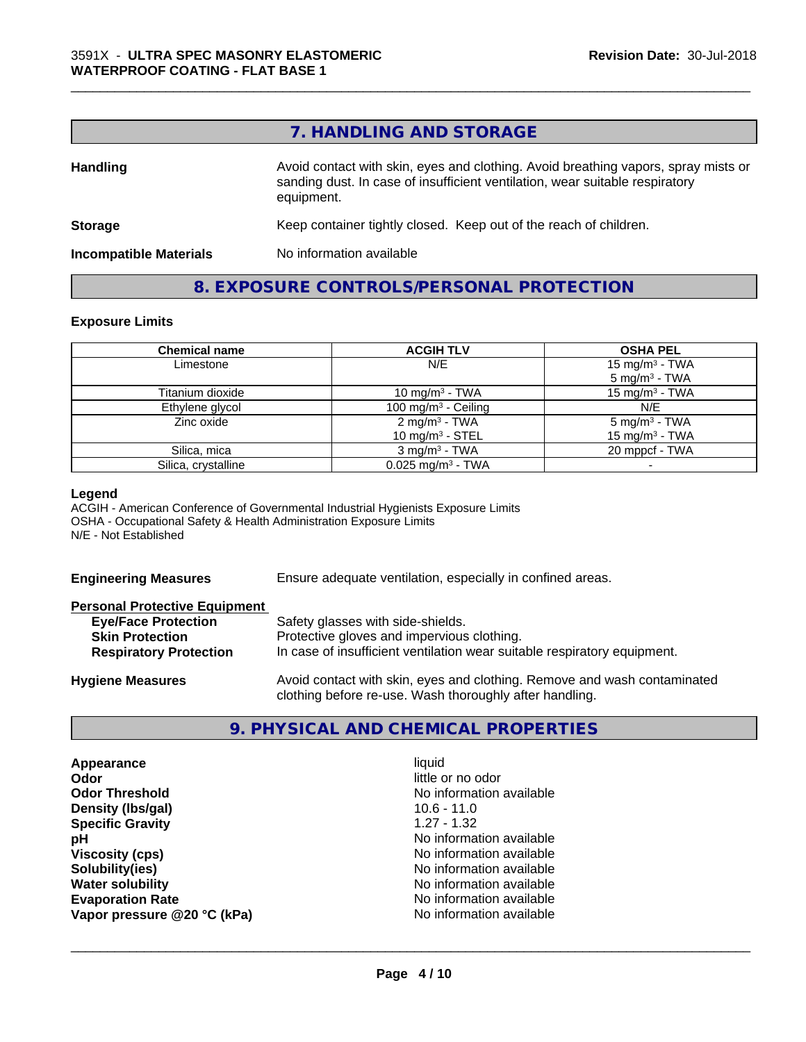#### **7. HANDLING AND STORAGE**

\_\_\_\_\_\_\_\_\_\_\_\_\_\_\_\_\_\_\_\_\_\_\_\_\_\_\_\_\_\_\_\_\_\_\_\_\_\_\_\_\_\_\_\_\_\_\_\_\_\_\_\_\_\_\_\_\_\_\_\_\_\_\_\_\_\_\_\_\_\_\_\_\_\_\_\_\_\_\_\_\_\_\_\_\_\_\_\_\_\_\_\_\_

| <b>Handling</b>               | Avoid contact with skin, eyes and clothing. Avoid breathing vapors, spray mists or<br>sanding dust. In case of insufficient ventilation, wear suitable respiratory<br>equipment. |  |
|-------------------------------|----------------------------------------------------------------------------------------------------------------------------------------------------------------------------------|--|
| <b>Storage</b>                | Keep container tightly closed. Keep out of the reach of children.                                                                                                                |  |
| <b>Incompatible Materials</b> | No information available                                                                                                                                                         |  |

## **8. EXPOSURE CONTROLS/PERSONAL PROTECTION**

#### **Exposure Limits**

| <b>Chemical name</b> | <b>ACGIH TLV</b>                                | <b>OSHA PEL</b>                                        |
|----------------------|-------------------------------------------------|--------------------------------------------------------|
| Limestone            | N/E                                             | 15 mg/m <sup>3</sup> - TWA<br>$5 \text{ mg/m}^3$ - TWA |
| Titanium dioxide     | 10 mg/m <sup>3</sup> - TWA                      | $15 \text{ mg/m}^3$ - TWA                              |
| Ethylene glycol      | 100 mg/m $3$ - Ceiling                          | N/E                                                    |
| Zinc oxide           | 2 mg/m <sup>3</sup> - TWA<br>10 mg/m $3$ - STEL | $5 \text{ mg/m}^3$ - TWA<br>15 mg/m $3$ - TWA          |
| Silica, mica         | $3 \text{ ma/m}^3$ - TWA                        | 20 mppcf - TWA                                         |
| Silica, crystalline  | $0.025$ mg/m <sup>3</sup> - TWA                 |                                                        |

#### **Legend**

ACGIH - American Conference of Governmental Industrial Hygienists Exposure Limits OSHA - Occupational Safety & Health Administration Exposure Limits N/E - Not Established

| <b>Engineering Measures</b> | Ensure adequat |
|-----------------------------|----------------|
|-----------------------------|----------------|

**Examble Ventilation, especially in confined areas.** 

| <b>Personal Protective Equipment</b> |                                                                          |
|--------------------------------------|--------------------------------------------------------------------------|
| <b>Eye/Face Protection</b>           | Safety glasses with side-shields.                                        |
| <b>Skin Protection</b>               | Protective gloves and impervious clothing.                               |
| <b>Respiratory Protection</b>        | In case of insufficient ventilation wear suitable respiratory equipment. |
| <b>Hygiene Measures</b>              | Avoid contact with skin, eyes and clothing. Remove and wash contaminated |

#### **9. PHYSICAL AND CHEMICAL PROPERTIES**

clothing before re-use. Wash thoroughly after handling.

| Appearance                  | liquid                   |
|-----------------------------|--------------------------|
| Odor                        | little or no odor        |
| <b>Odor Threshold</b>       | No information available |
| Density (Ibs/gal)           | $10.6 - 11.0$            |
| <b>Specific Gravity</b>     | $1.27 - 1.32$            |
| рH                          | No information available |
| <b>Viscosity (cps)</b>      | No information available |
| Solubility(ies)             | No information available |
| <b>Water solubility</b>     | No information available |
| <b>Evaporation Rate</b>     | No information available |
| Vapor pressure @20 °C (kPa) | No information available |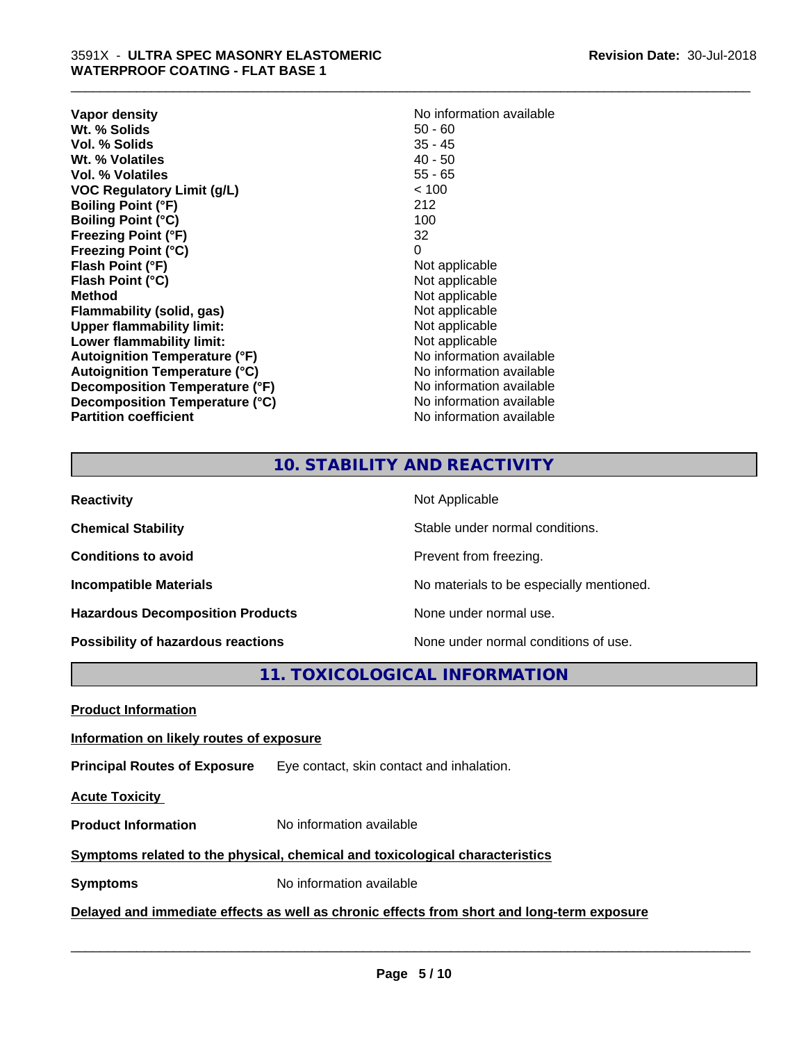| Vapor density                        | No information available |
|--------------------------------------|--------------------------|
| Wt. % Solids                         | $50 - 60$                |
| Vol. % Solids                        | $35 - 45$                |
| Wt. % Volatiles                      | $40 - 50$                |
| Vol. % Volatiles                     | $55 - 65$                |
| <b>VOC Regulatory Limit (g/L)</b>    | < 100                    |
| <b>Boiling Point (°F)</b>            | 212                      |
| <b>Boiling Point (°C)</b>            | 100                      |
| <b>Freezing Point (°F)</b>           | 32                       |
| <b>Freezing Point (°C)</b>           | 0                        |
| Flash Point (°F)                     | Not applicable           |
| Flash Point (°C)                     | Not applicable           |
| <b>Method</b>                        | Not applicable           |
| <b>Flammability (solid, gas)</b>     | Not applicable           |
| <b>Upper flammability limit:</b>     | Not applicable           |
| Lower flammability limit:            | Not applicable           |
| Autoignition Temperature (°F)        | No information available |
| <b>Autoignition Temperature (°C)</b> | No information available |
| Decomposition Temperature (°F)       | No information available |
| Decomposition Temperature (°C)       | No information available |
| <b>Partition coefficient</b>         | No information available |

\_\_\_\_\_\_\_\_\_\_\_\_\_\_\_\_\_\_\_\_\_\_\_\_\_\_\_\_\_\_\_\_\_\_\_\_\_\_\_\_\_\_\_\_\_\_\_\_\_\_\_\_\_\_\_\_\_\_\_\_\_\_\_\_\_\_\_\_\_\_\_\_\_\_\_\_\_\_\_\_\_\_\_\_\_\_\_\_\_\_\_\_\_

## **10. STABILITY AND REACTIVITY**

| <b>Reactivity</b>                         | Not Applicable                           |
|-------------------------------------------|------------------------------------------|
| <b>Chemical Stability</b>                 | Stable under normal conditions.          |
| <b>Conditions to avoid</b>                | Prevent from freezing.                   |
| <b>Incompatible Materials</b>             | No materials to be especially mentioned. |
| <b>Hazardous Decomposition Products</b>   | None under normal use.                   |
| <b>Possibility of hazardous reactions</b> | None under normal conditions of use.     |

**11. TOXICOLOGICAL INFORMATION**

**Product Information**

#### **Information on likely routes of exposure**

**Principal Routes of Exposure** Eye contact, skin contact and inhalation.

**Acute Toxicity** 

**Product Information** No information available

#### **Symptoms related to the physical,chemical and toxicological characteristics**

**Symptoms** No information available

**Delayed and immediate effects as well as chronic effects from short and long-term exposure**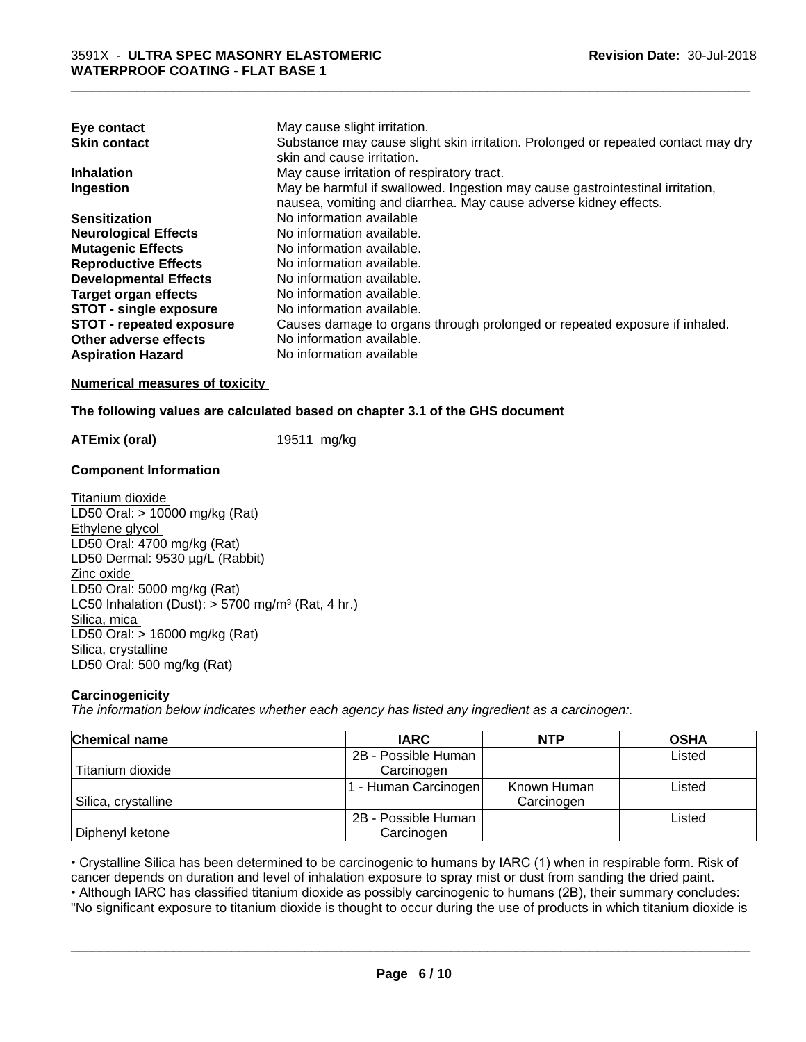| Eye contact                     | May cause slight irritation.                                                      |
|---------------------------------|-----------------------------------------------------------------------------------|
| <b>Skin contact</b>             | Substance may cause slight skin irritation. Prolonged or repeated contact may dry |
|                                 | skin and cause irritation.                                                        |
| <b>Inhalation</b>               | May cause irritation of respiratory tract.                                        |
| Ingestion                       | May be harmful if swallowed. Ingestion may cause gastrointestinal irritation,     |
|                                 | nausea, vomiting and diarrhea. May cause adverse kidney effects.                  |
| <b>Sensitization</b>            | No information available                                                          |
| <b>Neurological Effects</b>     | No information available.                                                         |
| <b>Mutagenic Effects</b>        | No information available.                                                         |
| <b>Reproductive Effects</b>     | No information available.                                                         |
| <b>Developmental Effects</b>    | No information available.                                                         |
| Target organ effects            | No information available.                                                         |
| <b>STOT - single exposure</b>   | No information available.                                                         |
| <b>STOT - repeated exposure</b> | Causes damage to organs through prolonged or repeated exposure if inhaled.        |
| Other adverse effects           | No information available.                                                         |
| <b>Aspiration Hazard</b>        | No information available                                                          |

**Numerical measures of toxicity**

#### **The following values are calculated based on chapter 3.1 of the GHS document**

**ATEmix (oral)** 19511 mg/kg

#### **Component Information**

Titanium dioxide LD50 Oral: > 10000 mg/kg (Rat) Ethylene glycol LD50 Oral: 4700 mg/kg (Rat) LD50 Dermal: 9530 µg/L (Rabbit) Zinc oxide LD50 Oral: 5000 mg/kg (Rat) LC50 Inhalation (Dust):  $> 5700$  mg/m<sup>3</sup> (Rat, 4 hr.) Silica, mica LD50 Oral: > 16000 mg/kg (Rat) Silica, crystalline LD50 Oral: 500 mg/kg (Rat)

#### **Carcinogenicity**

*The information below indicateswhether each agency has listed any ingredient as a carcinogen:.*

| <b>Chemical name</b> | <b>IARC</b>         | <b>NTP</b>  | <b>OSHA</b> |
|----------------------|---------------------|-------------|-------------|
|                      | 2B - Possible Human |             | Listed      |
| Titanium dioxide     | Carcinogen          |             |             |
|                      | - Human Carcinogen  | Known Human | Listed      |
| Silica, crystalline  |                     | Carcinogen  |             |
|                      | 2B - Possible Human |             | Listed      |
| Diphenyl ketone      | Carcinogen          |             |             |

• Crystalline Silica has been determined to be carcinogenic to humans by IARC (1) when in respirable form. Risk of cancer depends on duration and level of inhalation exposure to spray mist or dust from sanding the dried pa cancer depends on duration and level of inhalation exposure to spray mist or dust from sanding the dried paint.

• Although IARC has classified titanium dioxide as possibly carcinogenic to humans (2B), their summary concludes: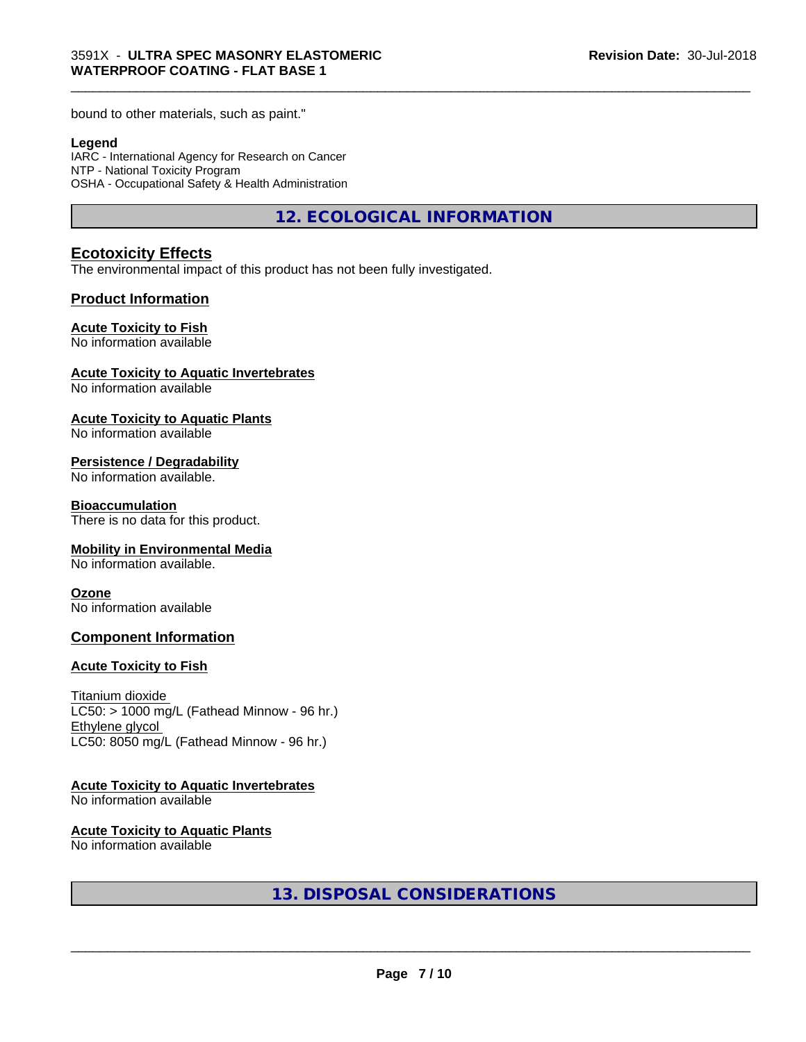bound to other materials, such as paint."

#### **Legend**

IARC - International Agency for Research on Cancer NTP - National Toxicity Program OSHA - Occupational Safety & Health Administration

**12. ECOLOGICAL INFORMATION**

\_\_\_\_\_\_\_\_\_\_\_\_\_\_\_\_\_\_\_\_\_\_\_\_\_\_\_\_\_\_\_\_\_\_\_\_\_\_\_\_\_\_\_\_\_\_\_\_\_\_\_\_\_\_\_\_\_\_\_\_\_\_\_\_\_\_\_\_\_\_\_\_\_\_\_\_\_\_\_\_\_\_\_\_\_\_\_\_\_\_\_\_\_

#### **Ecotoxicity Effects**

The environmental impact of this product has not been fully investigated.

#### **Product Information**

#### **Acute Toxicity to Fish**

No information available

#### **Acute Toxicity to Aquatic Invertebrates**

No information available

#### **Acute Toxicity to Aquatic Plants**

No information available

#### **Persistence / Degradability**

No information available.

#### **Bioaccumulation**

There is no data for this product.

#### **Mobility in Environmental Media**

No information available.

#### **Ozone**

No information available

#### **Component Information**

#### **Acute Toxicity to Fish**

Titanium dioxide  $LC50:$  > 1000 mg/L (Fathead Minnow - 96 hr.) Ethylene glycol LC50: 8050 mg/L (Fathead Minnow - 96 hr.)

#### **Acute Toxicity to Aquatic Invertebrates**

No information available

#### **Acute Toxicity to Aquatic Plants**

No information available

**13. DISPOSAL CONSIDERATIONS**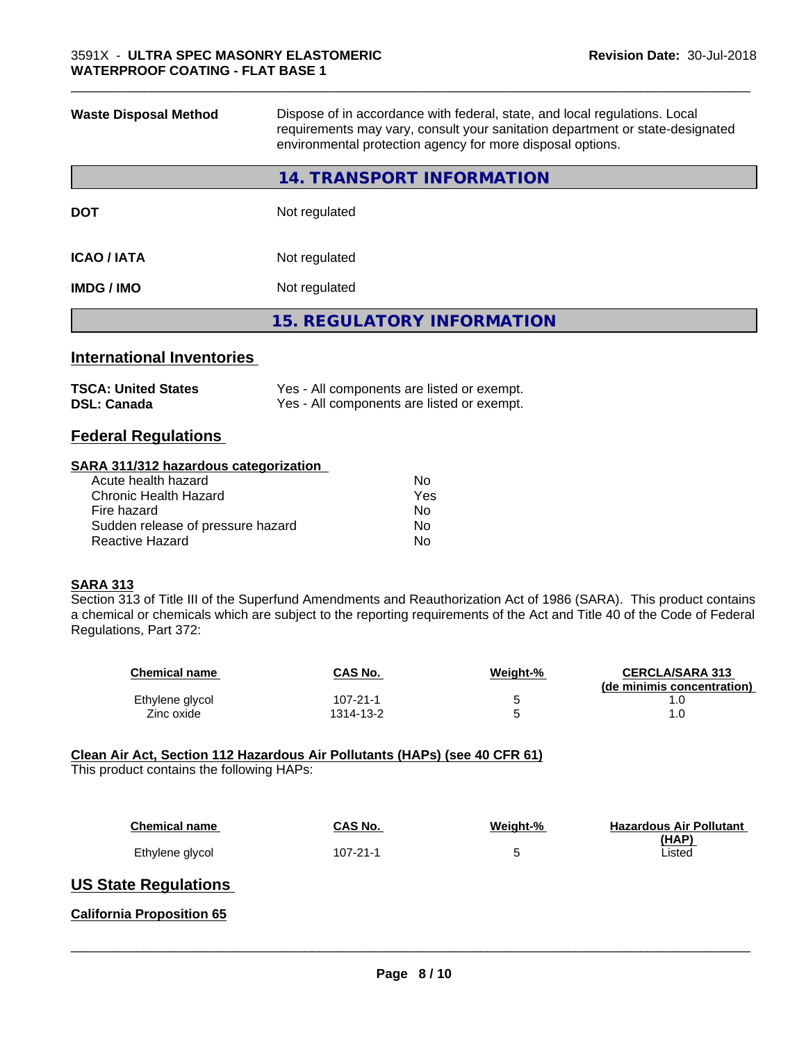| <b>Waste Disposal Method</b>       | Dispose of in accordance with federal, state, and local regulations. Local<br>requirements may vary, consult your sanitation department or state-designated<br>environmental protection agency for more disposal options. |  |  |
|------------------------------------|---------------------------------------------------------------------------------------------------------------------------------------------------------------------------------------------------------------------------|--|--|
|                                    | 14. TRANSPORT INFORMATION                                                                                                                                                                                                 |  |  |
| <b>DOT</b>                         | Not regulated                                                                                                                                                                                                             |  |  |
| <b>ICAO / IATA</b>                 | Not regulated                                                                                                                                                                                                             |  |  |
| <b>IMDG / IMO</b><br>Not regulated |                                                                                                                                                                                                                           |  |  |
|                                    | <b>15. REGULATORY INFORMATION</b>                                                                                                                                                                                         |  |  |
|                                    |                                                                                                                                                                                                                           |  |  |

\_\_\_\_\_\_\_\_\_\_\_\_\_\_\_\_\_\_\_\_\_\_\_\_\_\_\_\_\_\_\_\_\_\_\_\_\_\_\_\_\_\_\_\_\_\_\_\_\_\_\_\_\_\_\_\_\_\_\_\_\_\_\_\_\_\_\_\_\_\_\_\_\_\_\_\_\_\_\_\_\_\_\_\_\_\_\_\_\_\_\_\_\_

#### **International Inventories**

| <b>TSCA: United States</b> | Yes - All components are listed or exempt. |
|----------------------------|--------------------------------------------|
| <b>DSL: Canada</b>         | Yes - All components are listed or exempt. |

#### **Federal Regulations**

#### **SARA 311/312 hazardous categorization**

| No. |
|-----|
| Yes |
| No. |
| Nο  |
| N٥  |
|     |

#### **SARA 313**

Section 313 of Title III of the Superfund Amendments and Reauthorization Act of 1986 (SARA). This product contains a chemical or chemicals which are subject to the reporting requirements of the Act and Title 40 of the Code of Federal Regulations, Part 372:

| <b>Chemical name</b> | <b>CAS No.</b> | Weight-% | <b>CERCLA/SARA 313</b><br>(de minimis concentration) |
|----------------------|----------------|----------|------------------------------------------------------|
| Ethylene glycol      | $107 - 21 - 1$ |          |                                                      |
| Zinc oxide           | 1314-13-2      |          |                                                      |

#### **Clean Air Act,Section 112 Hazardous Air Pollutants (HAPs) (see 40 CFR 61)**

This product contains the following HAPs:

| Chemical name   | CAS No.        | Weight-% | <b>Hazardous Air Pollutant</b><br>(HAP) |
|-----------------|----------------|----------|-----------------------------------------|
| Ethylene glycol | $107 - 21 - 1$ |          | Listed                                  |

#### **US State Regulations**

**California Proposition 65**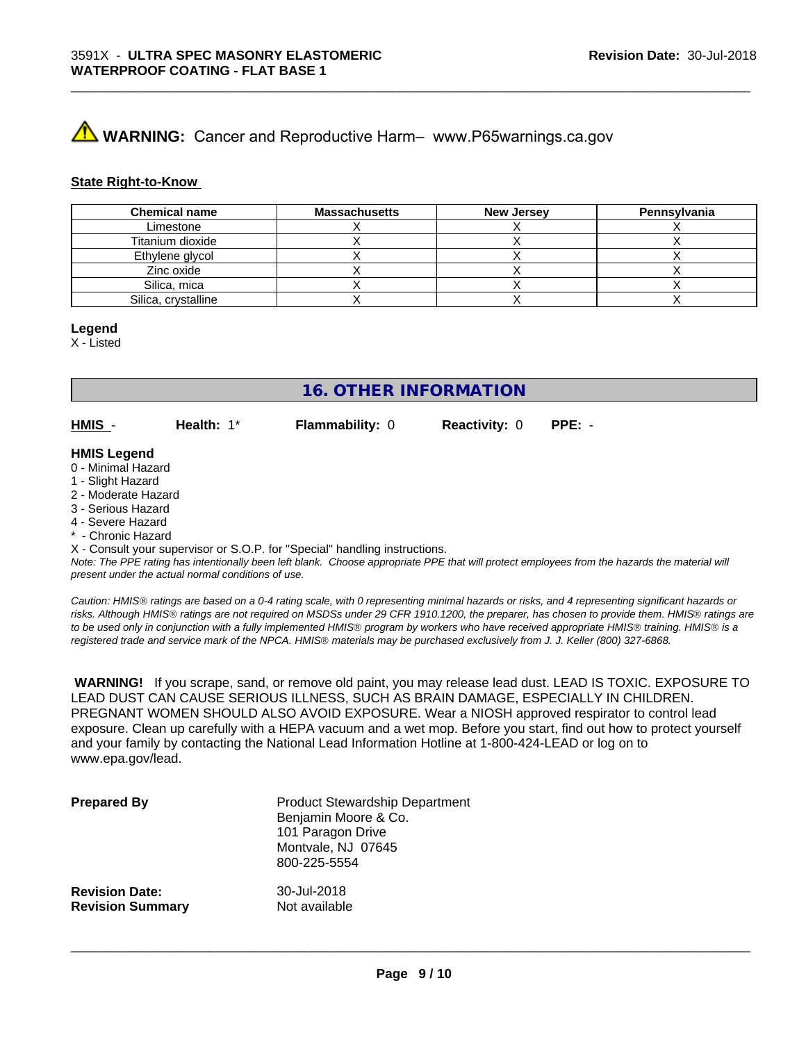# **A WARNING:** Cancer and Reproductive Harm– www.P65warnings.ca.gov

#### **State Right-to-Know**

| <b>Chemical name</b> | <b>Massachusetts</b> | <b>New Jersey</b> | Pennsylvania |
|----------------------|----------------------|-------------------|--------------|
| Limestone            |                      |                   |              |
| Titanium dioxide     |                      |                   |              |
| Ethylene glycol      |                      |                   |              |
| Zinc oxide           |                      |                   |              |
| Silica, mica         |                      |                   |              |
| Silica, crystalline  |                      |                   |              |

\_\_\_\_\_\_\_\_\_\_\_\_\_\_\_\_\_\_\_\_\_\_\_\_\_\_\_\_\_\_\_\_\_\_\_\_\_\_\_\_\_\_\_\_\_\_\_\_\_\_\_\_\_\_\_\_\_\_\_\_\_\_\_\_\_\_\_\_\_\_\_\_\_\_\_\_\_\_\_\_\_\_\_\_\_\_\_\_\_\_\_\_\_

#### **Legend**

X - Listed

**16. OTHER INFORMATION**

**HMIS** - **Health:** 1\* **Flammability:** 0 **Reactivity:** 0 **PPE:** -

#### **HMIS Legend**

- 0 Minimal Hazard
- 1 Slight Hazard
- 2 Moderate Hazard
- 3 Serious Hazard
- 4 Severe Hazard
- Chronic Hazard

X - Consult your supervisor or S.O.P. for "Special" handling instructions.

*Note: The PPE rating has intentionally been left blank. Choose appropriate PPE that will protect employees from the hazards the material will present under the actual normal conditions of use.*

*Caution: HMISÒ ratings are based on a 0-4 rating scale, with 0 representing minimal hazards or risks, and 4 representing significant hazards or risks. Although HMISÒ ratings are not required on MSDSs under 29 CFR 1910.1200, the preparer, has chosen to provide them. HMISÒ ratings are to be used only in conjunction with a fully implemented HMISÒ program by workers who have received appropriate HMISÒ training. HMISÒ is a registered trade and service mark of the NPCA. HMISÒ materials may be purchased exclusively from J. J. Keller (800) 327-6868.*

 **WARNING!** If you scrape, sand, or remove old paint, you may release lead dust. LEAD IS TOXIC. EXPOSURE TO LEAD DUST CAN CAUSE SERIOUS ILLNESS, SUCH AS BRAIN DAMAGE, ESPECIALLY IN CHILDREN. PREGNANT WOMEN SHOULD ALSO AVOID EXPOSURE.Wear a NIOSH approved respirator to control lead exposure. Clean up carefully with a HEPA vacuum and a wet mop. Before you start, find out how to protect yourself and your family by contacting the National Lead Information Hotline at 1-800-424-LEAD or log on to www.epa.gov/lead.

| <b>Prepared By</b>      | <b>Product Stewardship Department</b><br>Benjamin Moore & Co.<br>101 Paragon Drive<br>Montvale, NJ 07645<br>800-225-5554 |
|-------------------------|--------------------------------------------------------------------------------------------------------------------------|
| <b>Revision Date:</b>   | 30-Jul-2018                                                                                                              |
| <b>Revision Summary</b> | Not available                                                                                                            |